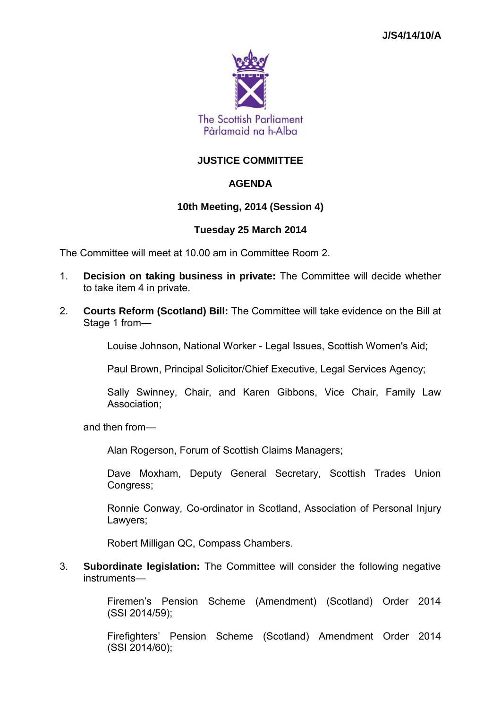

# **JUSTICE COMMITTEE**

# **AGENDA**

# **10th Meeting, 2014 (Session 4)**

## **Tuesday 25 March 2014**

The Committee will meet at 10.00 am in Committee Room 2.

- 1. **Decision on taking business in private:** The Committee will decide whether to take item 4 in private.
- 2. **Courts Reform (Scotland) Bill:** The Committee will take evidence on the Bill at Stage 1 from—

Louise Johnson, National Worker - Legal Issues, Scottish Women's Aid;

Paul Brown, Principal Solicitor/Chief Executive, Legal Services Agency;

Sally Swinney, Chair, and Karen Gibbons, Vice Chair, Family Law Association;

and then from—

Alan Rogerson, Forum of Scottish Claims Managers;

Dave Moxham, Deputy General Secretary, Scottish Trades Union Congress;

Ronnie Conway, Co-ordinator in Scotland, Association of Personal Injury Lawyers;

Robert Milligan QC, Compass Chambers.

3. **Subordinate legislation:** The Committee will consider the following negative instruments—

> Firemen's Pension Scheme (Amendment) (Scotland) Order 2014 (SSI 2014/59);

> Firefighters' Pension Scheme (Scotland) Amendment Order 2014 (SSI 2014/60);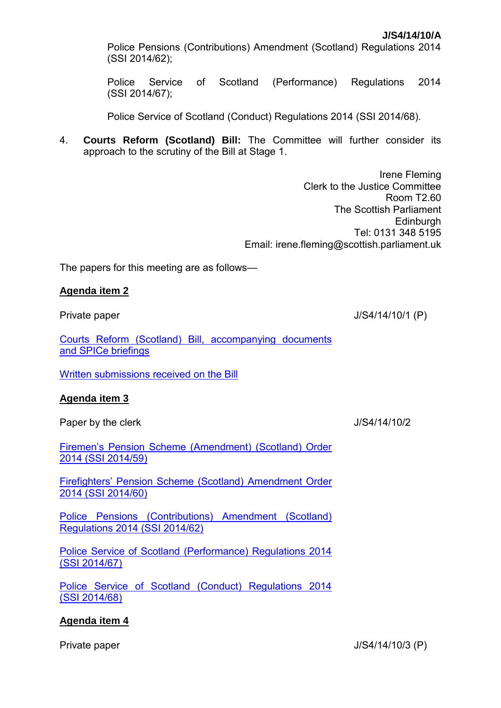Police Pensions (Contributions) Amendment (Scotland) Regulations 2014 (SSI 2014/62);

Police Service of Scotland (Performance) Regulations 2014 (SSI 2014/67);

Police Service of Scotland (Conduct) Regulations 2014 (SSI 2014/68).

4. **Courts Reform (Scotland) Bill:** The Committee will further consider its approach to the scrutiny of the Bill at Stage 1.

> Irene Fleming Clerk to the Justice Committee Room T2.60 The Scottish Parliament **Edinburgh** Tel: 0131 348 5195 Email: irene.fleming@scottish.parliament.uk

The papers for this meeting are as follows—

#### **Agenda item 2**

Private paper J/S4/14/10/1 (P)

[Courts Reform \(Scotland\) Bill, accompanying documents](http://www.scottish.parliament.uk/parliamentarybusiness/Bills/72771.aspx)  [and SPICe briefings](http://www.scottish.parliament.uk/parliamentarybusiness/Bills/72771.aspx)

[Written submissions received on the Bill](http://www.scottish.parliament.uk/parliamentarybusiness/CurrentCommittees/74192.aspx)

## **Agenda item 3**

Paper by the clerk **Paper** by the clerk **J**/S4/14/10/2

[Firemen's Pension Scheme \(Amendment\) \(Scotland\) Order](http://www.legislation.gov.uk/ssi/2014/59/contents/made)  [2014 \(SSI](http://www.legislation.gov.uk/ssi/2014/59/contents/made) 2014/59)

[Firefighters' Pension Scheme \(Scotland\)](http://www.legislation.gov.uk/ssi/2014/60/contents/made) Amendment Order [2014 \(SSI](http://www.legislation.gov.uk/ssi/2014/60/contents/made) 2014/60)

[Police Pensions \(Contributions\) Amendment \(Scotland\)](http://www.legislation.gov.uk/ssi/2014/62/contents/made)  [Regulations 2014 \(SSI](http://www.legislation.gov.uk/ssi/2014/62/contents/made) 2014/62)

[Police Service of Scotland \(Performance\) Regulations 2014](http://www.legislation.gov.uk/ssi/2014/67/contents/made)  (SSI [2014/67\)](http://www.legislation.gov.uk/ssi/2014/67/contents/made)

[Police Service of Scotland \(Conduct\) Regulations 2014](http://www.legislation.gov.uk/ssi/2014/68/contents/made)  (SSI [2014/68\)](http://www.legislation.gov.uk/ssi/2014/68/contents/made)

## **Agenda item 4**

Private paper J/S4/14/10/3 (P)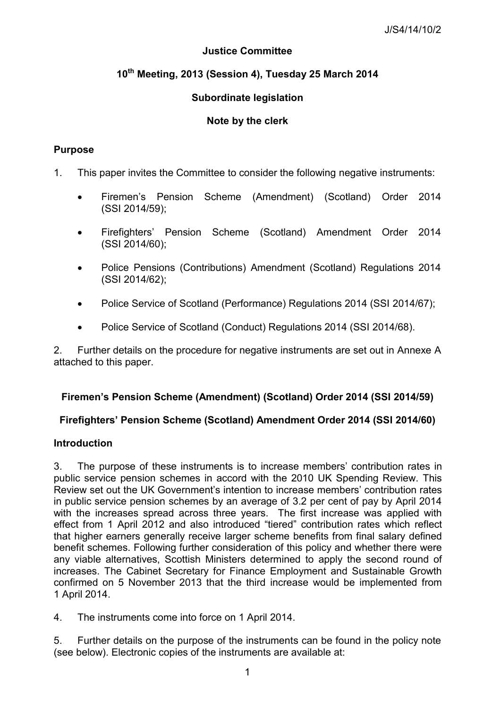# **Justice Committee**

# **10th Meeting, 2013 (Session 4), Tuesday 25 March 2014**

# **Subordinate legislation**

# **Note by the clerk**

# **Purpose**

- 1. This paper invites the Committee to consider the following negative instruments:
	- Firemen's Pension Scheme (Amendment) (Scotland) Order 2014 (SSI 2014/59);
	- Firefighters' Pension Scheme (Scotland) Amendment Order 2014 (SSI 2014/60);
	- Police Pensions (Contributions) Amendment (Scotland) Regulations 2014 (SSI 2014/62);
	- Police Service of Scotland (Performance) Regulations 2014 (SSI 2014/67);
	- Police Service of Scotland (Conduct) Regulations 2014 (SSI 2014/68).

2. Further details on the procedure for negative instruments are set out in Annexe A attached to this paper.

## **Firemen's Pension Scheme (Amendment) (Scotland) Order 2014 (SSI 2014/59)**

# **Firefighters' Pension Scheme (Scotland) Amendment Order 2014 (SSI 2014/60)**

## **Introduction**

3. The purpose of these instruments is to increase members' contribution rates in public service pension schemes in accord with the 2010 UK Spending Review. This Review set out the UK Government's intention to increase members' contribution rates in public service pension schemes by an average of 3.2 per cent of pay by April 2014 with the increases spread across three years. The first increase was applied with effect from 1 April 2012 and also introduced "tiered" contribution rates which reflect that higher earners generally receive larger scheme benefits from final salary defined benefit schemes. Following further consideration of this policy and whether there were any viable alternatives, Scottish Ministers determined to apply the second round of increases. The Cabinet Secretary for Finance Employment and Sustainable Growth confirmed on 5 November 2013 that the third increase would be implemented from 1 April 2014.

4. The instruments come into force on 1 April 2014.

5. Further details on the purpose of the instruments can be found in the policy note (see below). Electronic copies of the instruments are available at: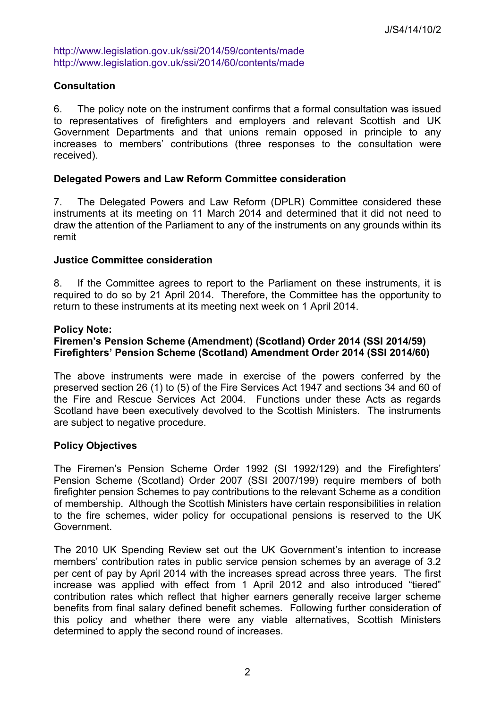<http://www.legislation.gov.uk/ssi/2014/59/contents/made> <http://www.legislation.gov.uk/ssi/2014/60/contents/made>

# **Consultation**

6. The policy note on the instrument confirms that a formal consultation was issued to representatives of firefighters and employers and relevant Scottish and UK Government Departments and that unions remain opposed in principle to any increases to members' contributions (three responses to the consultation were received).

### **Delegated Powers and Law Reform Committee consideration**

7. The Delegated Powers and Law Reform (DPLR) Committee considered these instruments at its meeting on 11 March 2014 and determined that it did not need to draw the attention of the Parliament to any of the instruments on any grounds within its remit

#### **Justice Committee consideration**

8. If the Committee agrees to report to the Parliament on these instruments, it is required to do so by 21 April 2014. Therefore, the Committee has the opportunity to return to these instruments at its meeting next week on 1 April 2014.

#### **Policy Note:**

## **Firemen's Pension Scheme (Amendment) (Scotland) Order 2014 (SSI 2014/59) Firefighters' Pension Scheme (Scotland) Amendment Order 2014 (SSI 2014/60)**

The above instruments were made in exercise of the powers conferred by the preserved section 26 (1) to (5) of the Fire Services Act 1947 and sections 34 and 60 of the Fire and Rescue Services Act 2004. Functions under these Acts as regards Scotland have been executively devolved to the Scottish Ministers. The instruments are subject to negative procedure.

## **Policy Objectives**

The Firemen's Pension Scheme Order 1992 (SI 1992/129) and the Firefighters' Pension Scheme (Scotland) Order 2007 (SSI 2007/199) require members of both firefighter pension Schemes to pay contributions to the relevant Scheme as a condition of membership. Although the Scottish Ministers have certain responsibilities in relation to the fire schemes, wider policy for occupational pensions is reserved to the UK Government.

The 2010 UK Spending Review set out the UK Government's intention to increase members' contribution rates in public service pension schemes by an average of 3.2 per cent of pay by April 2014 with the increases spread across three years. The first increase was applied with effect from 1 April 2012 and also introduced "tiered" contribution rates which reflect that higher earners generally receive larger scheme benefits from final salary defined benefit schemes. Following further consideration of this policy and whether there were any viable alternatives, Scottish Ministers determined to apply the second round of increases.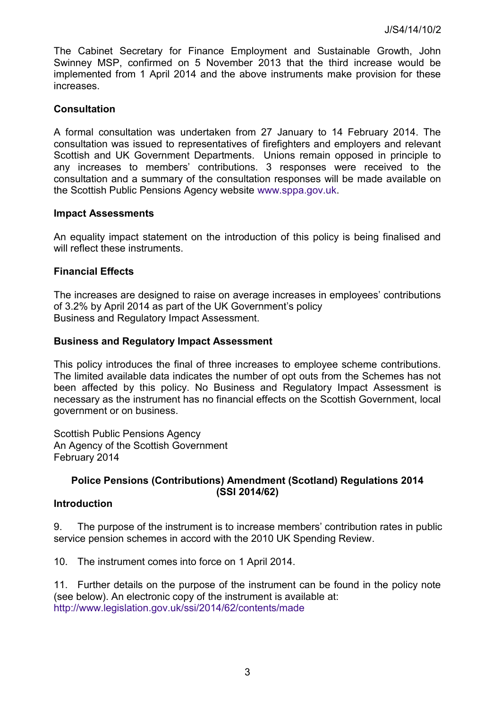The Cabinet Secretary for Finance Employment and Sustainable Growth, John Swinney MSP, confirmed on 5 November 2013 that the third increase would be implemented from 1 April 2014 and the above instruments make provision for these increases.

# **Consultation**

A formal consultation was undertaken from 27 January to 14 February 2014. The consultation was issued to representatives of firefighters and employers and relevant Scottish and UK Government Departments. Unions remain opposed in principle to any increases to members' contributions. 3 responses were received to the consultation and a summary of the consultation responses will be made available on the Scottish Public Pensions Agency website [www.sppa.gov.uk.](http://www.sppa.gov.uk/)

## **Impact Assessments**

An equality impact statement on the introduction of this policy is being finalised and will reflect these instruments.

## **Financial Effects**

The increases are designed to raise on average increases in employees' contributions of 3.2% by April 2014 as part of the UK Government's policy Business and Regulatory Impact Assessment.

# **Business and Regulatory Impact Assessment**

This policy introduces the final of three increases to employee scheme contributions. The limited available data indicates the number of opt outs from the Schemes has not been affected by this policy. No Business and Regulatory Impact Assessment is necessary as the instrument has no financial effects on the Scottish Government, local government or on business.

Scottish Public Pensions Agency An Agency of the Scottish Government February 2014

## **Police Pensions (Contributions) Amendment (Scotland) Regulations 2014 (SSI 2014/62)**

## **Introduction**

9. The purpose of the instrument is to increase members' contribution rates in public service pension schemes in accord with the 2010 UK Spending Review.

10. The instrument comes into force on 1 April 2014.

11. Further details on the purpose of the instrument can be found in the policy note (see below). An electronic copy of the instrument is available at: <http://www.legislation.gov.uk/ssi/2014/62/contents/made>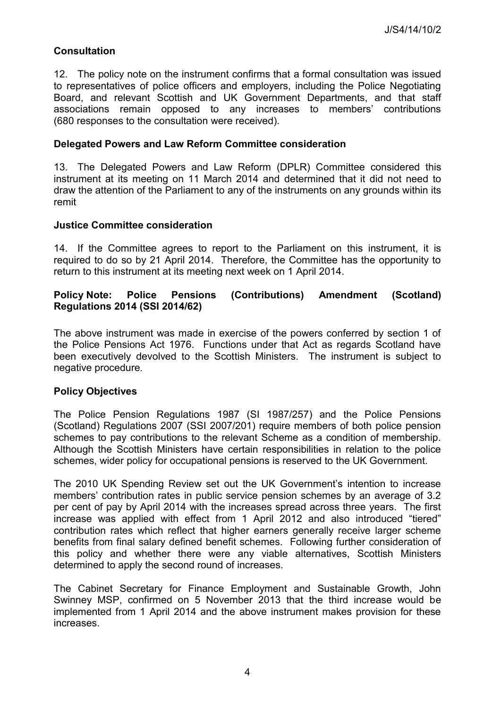# **Consultation**

12. The policy note on the instrument confirms that a formal consultation was issued to representatives of police officers and employers, including the Police Negotiating Board, and relevant Scottish and UK Government Departments, and that staff associations remain opposed to any increases to members' contributions (680 responses to the consultation were received).

#### **Delegated Powers and Law Reform Committee consideration**

13. The Delegated Powers and Law Reform (DPLR) Committee considered this instrument at its meeting on 11 March 2014 and determined that it did not need to draw the attention of the Parliament to any of the instruments on any grounds within its remit

#### **Justice Committee consideration**

14. If the Committee agrees to report to the Parliament on this instrument, it is required to do so by 21 April 2014. Therefore, the Committee has the opportunity to return to this instrument at its meeting next week on 1 April 2014.

## **Policy Note: Police Pensions (Contributions) Amendment (Scotland) Regulations 2014 (SSI 2014/62)**

The above instrument was made in exercise of the powers conferred by section 1 of the Police Pensions Act 1976. Functions under that Act as regards Scotland have been executively devolved to the Scottish Ministers. The instrument is subject to negative procedure.

## **Policy Objectives**

The Police Pension Regulations 1987 (SI 1987/257) and the Police Pensions (Scotland) Regulations 2007 (SSI 2007/201) require members of both police pension schemes to pay contributions to the relevant Scheme as a condition of membership. Although the Scottish Ministers have certain responsibilities in relation to the police schemes, wider policy for occupational pensions is reserved to the UK Government.

The 2010 UK Spending Review set out the UK Government's intention to increase members' contribution rates in public service pension schemes by an average of 3.2 per cent of pay by April 2014 with the increases spread across three years. The first increase was applied with effect from 1 April 2012 and also introduced "tiered" contribution rates which reflect that higher earners generally receive larger scheme benefits from final salary defined benefit schemes. Following further consideration of this policy and whether there were any viable alternatives, Scottish Ministers determined to apply the second round of increases.

The Cabinet Secretary for Finance Employment and Sustainable Growth, John Swinney MSP, confirmed on 5 November 2013 that the third increase would be implemented from 1 April 2014 and the above instrument makes provision for these increases.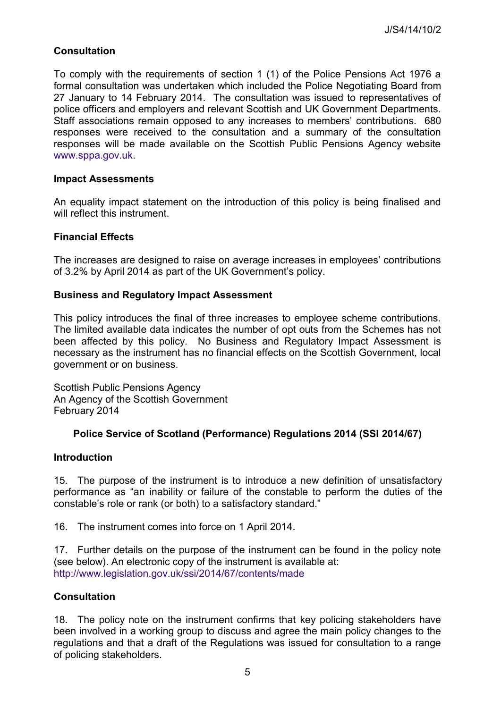# **Consultation**

To comply with the requirements of section 1 (1) of the Police Pensions Act 1976 a formal consultation was undertaken which included the Police Negotiating Board from 27 January to 14 February 2014. The consultation was issued to representatives of police officers and employers and relevant Scottish and UK Government Departments. Staff associations remain opposed to any increases to members' contributions. 680 responses were received to the consultation and a summary of the consultation responses will be made available on the Scottish Public Pensions Agency website [www.sppa.gov.uk.](http://www.sppa.gov.uk/)

#### **Impact Assessments**

An equality impact statement on the introduction of this policy is being finalised and will reflect this instrument.

## **Financial Effects**

The increases are designed to raise on average increases in employees' contributions of 3.2% by April 2014 as part of the UK Government's policy.

#### **Business and Regulatory Impact Assessment**

This policy introduces the final of three increases to employee scheme contributions. The limited available data indicates the number of opt outs from the Schemes has not been affected by this policy. No Business and Regulatory Impact Assessment is necessary as the instrument has no financial effects on the Scottish Government, local government or on business.

Scottish Public Pensions Agency An Agency of the Scottish Government February 2014

## **Police Service of Scotland (Performance) Regulations 2014 (SSI 2014/67)**

#### **Introduction**

15. The purpose of the instrument is to introduce a new definition of unsatisfactory performance as "an inability or failure of the constable to perform the duties of the constable's role or rank (or both) to a satisfactory standard."

16. The instrument comes into force on 1 April 2014.

17. Further details on the purpose of the instrument can be found in the policy note (see below). An electronic copy of the instrument is available at: <http://www.legislation.gov.uk/ssi/2014/67/contents/made>

## **Consultation**

18. The policy note on the instrument confirms that key policing stakeholders have been involved in a working group to discuss and agree the main policy changes to the regulations and that a draft of the Regulations was issued for consultation to a range of policing stakeholders.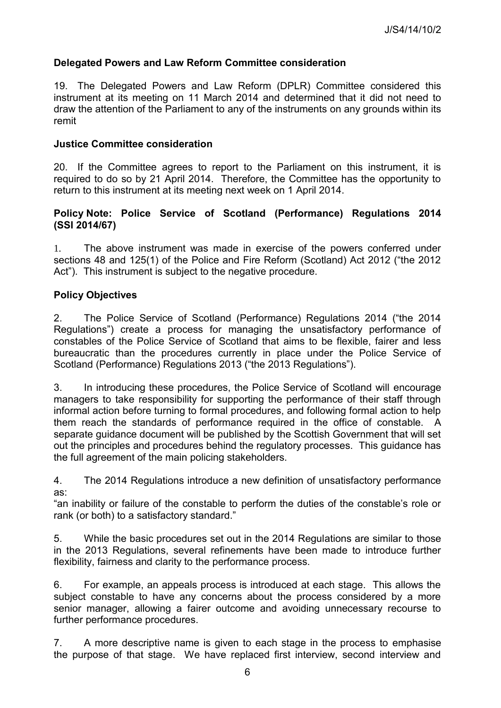# **Delegated Powers and Law Reform Committee consideration**

19. The Delegated Powers and Law Reform (DPLR) Committee considered this instrument at its meeting on 11 March 2014 and determined that it did not need to draw the attention of the Parliament to any of the instruments on any grounds within its remit

#### **Justice Committee consideration**

20. If the Committee agrees to report to the Parliament on this instrument, it is required to do so by 21 April 2014. Therefore, the Committee has the opportunity to return to this instrument at its meeting next week on 1 April 2014.

## **Policy Note: Police Service of Scotland (Performance) Regulations 2014 (SSI 2014/67)**

1. The above instrument was made in exercise of the powers conferred under sections 48 and 125(1) of the Police and Fire Reform (Scotland) Act 2012 ("the 2012 Act"). This instrument is subiect to the negative procedure.

## **Policy Objectives**

2. The Police Service of Scotland (Performance) Regulations 2014 ("the 2014 Regulations") create a process for managing the unsatisfactory performance of constables of the Police Service of Scotland that aims to be flexible, fairer and less bureaucratic than the procedures currently in place under the Police Service of Scotland (Performance) Regulations 2013 ("the 2013 Regulations").

3. In introducing these procedures, the Police Service of Scotland will encourage managers to take responsibility for supporting the performance of their staff through informal action before turning to formal procedures, and following formal action to help them reach the standards of performance required in the office of constable. A separate guidance document will be published by the Scottish Government that will set out the principles and procedures behind the regulatory processes. This guidance has the full agreement of the main policing stakeholders.

4. The 2014 Regulations introduce a new definition of unsatisfactory performance as:

"an inability or failure of the constable to perform the duties of the constable's role or rank (or both) to a satisfactory standard."

5. While the basic procedures set out in the 2014 Regulations are similar to those in the 2013 Regulations, several refinements have been made to introduce further flexibility, fairness and clarity to the performance process.

6. For example, an appeals process is introduced at each stage. This allows the subject constable to have any concerns about the process considered by a more senior manager, allowing a fairer outcome and avoiding unnecessary recourse to further performance procedures.

7. A more descriptive name is given to each stage in the process to emphasise the purpose of that stage. We have replaced first interview, second interview and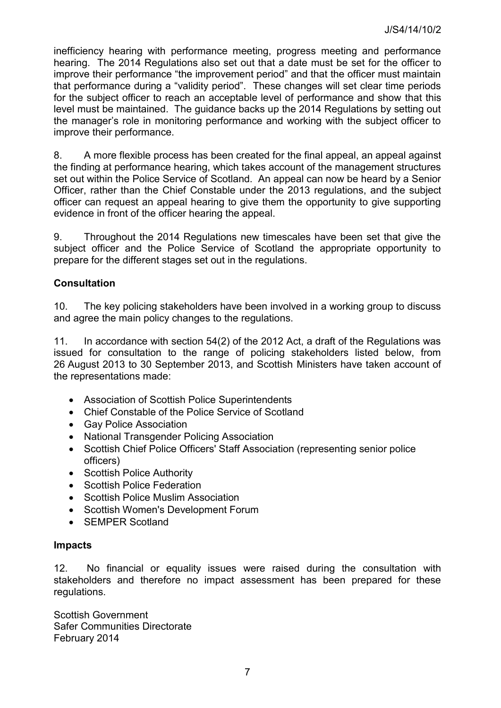inefficiency hearing with performance meeting, progress meeting and performance hearing. The 2014 Regulations also set out that a date must be set for the officer to improve their performance "the improvement period" and that the officer must maintain that performance during a "validity period". These changes will set clear time periods for the subject officer to reach an acceptable level of performance and show that this level must be maintained. The guidance backs up the 2014 Regulations by setting out the manager's role in monitoring performance and working with the subject officer to improve their performance.

8. A more flexible process has been created for the final appeal, an appeal against the finding at performance hearing, which takes account of the management structures set out within the Police Service of Scotland. An appeal can now be heard by a Senior Officer, rather than the Chief Constable under the 2013 regulations, and the subject officer can request an appeal hearing to give them the opportunity to give supporting evidence in front of the officer hearing the appeal.

9. Throughout the 2014 Regulations new timescales have been set that give the subject officer and the Police Service of Scotland the appropriate opportunity to prepare for the different stages set out in the regulations.

# **Consultation**

10. The key policing stakeholders have been involved in a working group to discuss and agree the main policy changes to the regulations.

11. In accordance with section 54(2) of the 2012 Act, a draft of the Regulations was issued for consultation to the range of policing stakeholders listed below, from 26 August 2013 to 30 September 2013, and Scottish Ministers have taken account of the representations made:

- Association of Scottish Police Superintendents
- Chief Constable of the Police Service of Scotland
- Gay Police Association
- National Transgender Policing Association
- Scottish Chief Police Officers' Staff Association (representing senior police officers)
- Scottish Police Authority
- Scottish Police Federation
- Scottish Police Muslim Association
- Scottish Women's Development Forum
- SEMPER Scotland

## **Impacts**

12. No financial or equality issues were raised during the consultation with stakeholders and therefore no impact assessment has been prepared for these regulations.

Scottish Government Safer Communities Directorate February 2014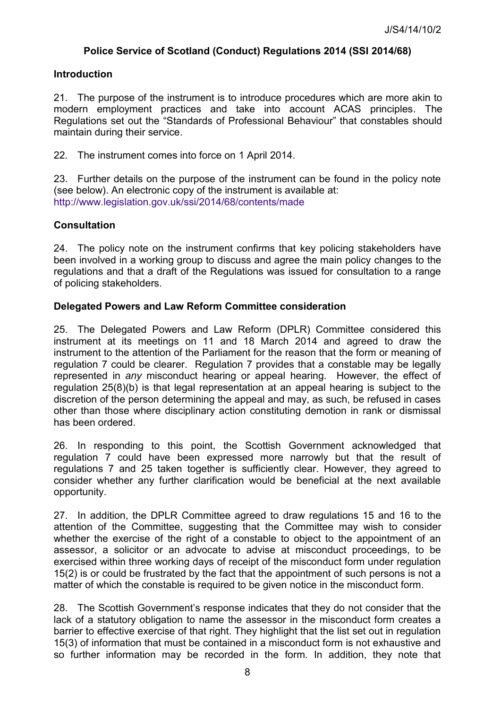# **Police Service of Scotland (Conduct) Regulations 2014 (SSI 2014/68)**

## **Introduction**

21. The purpose of the instrument is to introduce procedures which are more akin to modern employment practices and take into account ACAS principles. The Regulations set out the "Standards of Professional Behaviour" that constables should maintain during their service.

22. The instrument comes into force on 1 April 2014.

23. Further details on the purpose of the instrument can be found in the policy note (see below). An electronic copy of the instrument is available at: <http://www.legislation.gov.uk/ssi/2014/68/contents/made>

## **Consultation**

24. The policy note on the instrument confirms that key policing stakeholders have been involved in a working group to discuss and agree the main policy changes to the regulations and that a draft of the Regulations was issued for consultation to a range of policing stakeholders.

# **Delegated Powers and Law Reform Committee consideration**

25. The Delegated Powers and Law Reform (DPLR) Committee considered this instrument at its meetings on 11 and 18 March 2014 and agreed to draw the instrument to the attention of the Parliament for the reason that the form or meaning of regulation 7 could be clearer. Regulation 7 provides that a constable may be legally represented in *any* misconduct hearing or appeal hearing. However, the effect of regulation 25(8)(b) is that legal representation at an appeal hearing is subject to the discretion of the person determining the appeal and may, as such, be refused in cases other than those where disciplinary action constituting demotion in rank or dismissal has been ordered.

26. In responding to this point, the Scottish Government acknowledged that regulation 7 could have been expressed more narrowly but that the result of regulations 7 and 25 taken together is sufficiently clear. However, they agreed to consider whether any further clarification would be beneficial at the next available opportunity.

27. In addition, the DPLR Committee agreed to draw regulations 15 and 16 to the attention of the Committee, suggesting that the Committee may wish to consider whether the exercise of the right of a constable to object to the appointment of an assessor, a solicitor or an advocate to advise at misconduct proceedings, to be exercised within three working days of receipt of the misconduct form under regulation 15(2) is or could be frustrated by the fact that the appointment of such persons is not a matter of which the constable is required to be given notice in the misconduct form.

28. The Scottish Government's response indicates that they do not consider that the lack of a statutory obligation to name the assessor in the misconduct form creates a barrier to effective exercise of that right. They highlight that the list set out in regulation 15(3) of information that must be contained in a misconduct form is not exhaustive and so further information may be recorded in the form. In addition, they note that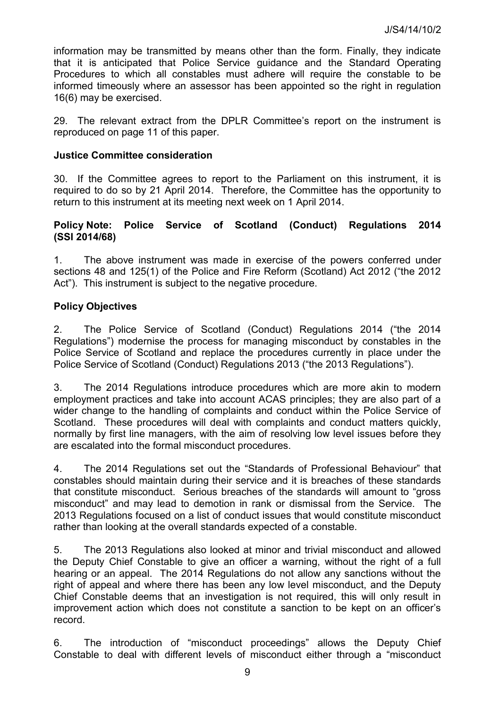information may be transmitted by means other than the form. Finally, they indicate that it is anticipated that Police Service guidance and the Standard Operating Procedures to which all constables must adhere will require the constable to be informed timeously where an assessor has been appointed so the right in regulation 16(6) may be exercised.

29. The relevant extract from the DPLR Committee's report on the instrument is reproduced on page 11 of this paper.

#### **Justice Committee consideration**

30. If the Committee agrees to report to the Parliament on this instrument, it is required to do so by 21 April 2014. Therefore, the Committee has the opportunity to return to this instrument at its meeting next week on 1 April 2014.

## **Policy Note: Police Service of Scotland (Conduct) Regulations 2014 (SSI 2014/68)**

1. The above instrument was made in exercise of the powers conferred under sections 48 and 125(1) of the Police and Fire Reform (Scotland) Act 2012 ("the 2012 Act"). This instrument is subject to the negative procedure.

## **Policy Objectives**

2. The Police Service of Scotland (Conduct) Regulations 2014 ("the 2014 Regulations") modernise the process for managing misconduct by constables in the Police Service of Scotland and replace the procedures currently in place under the Police Service of Scotland (Conduct) Regulations 2013 ("the 2013 Regulations").

3. The 2014 Regulations introduce procedures which are more akin to modern employment practices and take into account ACAS principles; they are also part of a wider change to the handling of complaints and conduct within the Police Service of Scotland. These procedures will deal with complaints and conduct matters quickly, normally by first line managers, with the aim of resolving low level issues before they are escalated into the formal misconduct procedures.

4. The 2014 Regulations set out the "Standards of Professional Behaviour" that constables should maintain during their service and it is breaches of these standards that constitute misconduct. Serious breaches of the standards will amount to "gross misconduct" and may lead to demotion in rank or dismissal from the Service. The 2013 Regulations focused on a list of conduct issues that would constitute misconduct rather than looking at the overall standards expected of a constable.

5. The 2013 Regulations also looked at minor and trivial misconduct and allowed the Deputy Chief Constable to give an officer a warning, without the right of a full hearing or an appeal. The 2014 Regulations do not allow any sanctions without the right of appeal and where there has been any low level misconduct, and the Deputy Chief Constable deems that an investigation is not required, this will only result in improvement action which does not constitute a sanction to be kept on an officer's record.

6. The introduction of "misconduct proceedings" allows the Deputy Chief Constable to deal with different levels of misconduct either through a "misconduct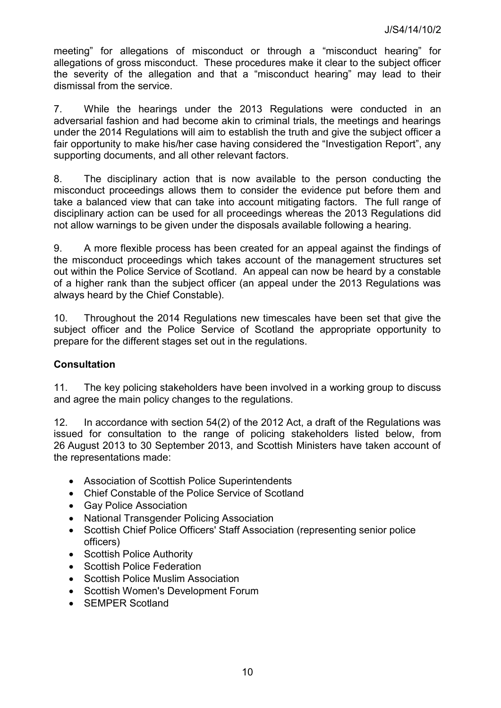meeting" for allegations of misconduct or through a "misconduct hearing" for allegations of gross misconduct. These procedures make it clear to the subject officer the severity of the allegation and that a "misconduct hearing" may lead to their dismissal from the service.

7. While the hearings under the 2013 Regulations were conducted in an adversarial fashion and had become akin to criminal trials, the meetings and hearings under the 2014 Regulations will aim to establish the truth and give the subject officer a fair opportunity to make his/her case having considered the "Investigation Report", any supporting documents, and all other relevant factors.

8. The disciplinary action that is now available to the person conducting the misconduct proceedings allows them to consider the evidence put before them and take a balanced view that can take into account mitigating factors. The full range of disciplinary action can be used for all proceedings whereas the 2013 Regulations did not allow warnings to be given under the disposals available following a hearing.

9. A more flexible process has been created for an appeal against the findings of the misconduct proceedings which takes account of the management structures set out within the Police Service of Scotland. An appeal can now be heard by a constable of a higher rank than the subject officer (an appeal under the 2013 Regulations was always heard by the Chief Constable).

10. Throughout the 2014 Regulations new timescales have been set that give the subject officer and the Police Service of Scotland the appropriate opportunity to prepare for the different stages set out in the regulations.

# **Consultation**

11. The key policing stakeholders have been involved in a working group to discuss and agree the main policy changes to the regulations.

12. In accordance with section 54(2) of the 2012 Act, a draft of the Regulations was issued for consultation to the range of policing stakeholders listed below, from 26 August 2013 to 30 September 2013, and Scottish Ministers have taken account of the representations made:

- Association of Scottish Police Superintendents
- Chief Constable of the Police Service of Scotland
- Gay Police Association
- National Transgender Policing Association
- Scottish Chief Police Officers' Staff Association (representing senior police officers)
- Scottish Police Authority
- Scottish Police Federation
- Scottish Police Muslim Association
- Scottish Women's Development Forum
- SEMPER Scotland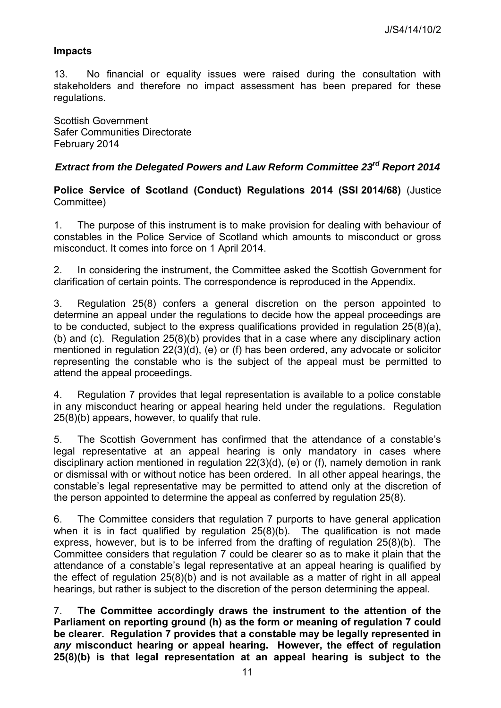#### **Impacts**

13. No financial or equality issues were raised during the consultation with stakeholders and therefore no impact assessment has been prepared for these regulations.

Scottish Government Safer Communities Directorate February 2014

# *Extract from the Delegated Powers and Law Reform Committee 23rd Report 2014*

**Police Service of Scotland (Conduct) Regulations 2014 (SSI 2014/68)** (Justice Committee)

1. The purpose of this instrument is to make provision for dealing with behaviour of constables in the Police Service of Scotland which amounts to misconduct or gross misconduct. It comes into force on 1 April 2014.

2. In considering the instrument, the Committee asked the Scottish Government for clarification of certain points. The correspondence is reproduced in the Appendix.

3. Regulation 25(8) confers a general discretion on the person appointed to determine an appeal under the regulations to decide how the appeal proceedings are to be conducted, subject to the express qualifications provided in regulation 25(8)(a), (b) and (c). Regulation 25(8)(b) provides that in a case where any disciplinary action mentioned in regulation 22(3)(d), (e) or (f) has been ordered, any advocate or solicitor representing the constable who is the subject of the appeal must be permitted to attend the appeal proceedings.

4. Regulation 7 provides that legal representation is available to a police constable in any misconduct hearing or appeal hearing held under the regulations. Regulation 25(8)(b) appears, however, to qualify that rule.

5. The Scottish Government has confirmed that the attendance of a constable's legal representative at an appeal hearing is only mandatory in cases where disciplinary action mentioned in regulation 22(3)(d), (e) or (f), namely demotion in rank or dismissal with or without notice has been ordered. In all other appeal hearings, the constable's legal representative may be permitted to attend only at the discretion of the person appointed to determine the appeal as conferred by regulation 25(8).

6. The Committee considers that regulation 7 purports to have general application when it is in fact qualified by regulation 25(8)(b). The qualification is not made express, however, but is to be inferred from the drafting of regulation 25(8)(b). The Committee considers that regulation 7 could be clearer so as to make it plain that the attendance of a constable's legal representative at an appeal hearing is qualified by the effect of regulation 25(8)(b) and is not available as a matter of right in all appeal hearings, but rather is subject to the discretion of the person determining the appeal.

7. **The Committee accordingly draws the instrument to the attention of the Parliament on reporting ground (h) as the form or meaning of regulation 7 could be clearer. Regulation 7 provides that a constable may be legally represented in**  *any* **misconduct hearing or appeal hearing. However, the effect of regulation 25(8)(b) is that legal representation at an appeal hearing is subject to the**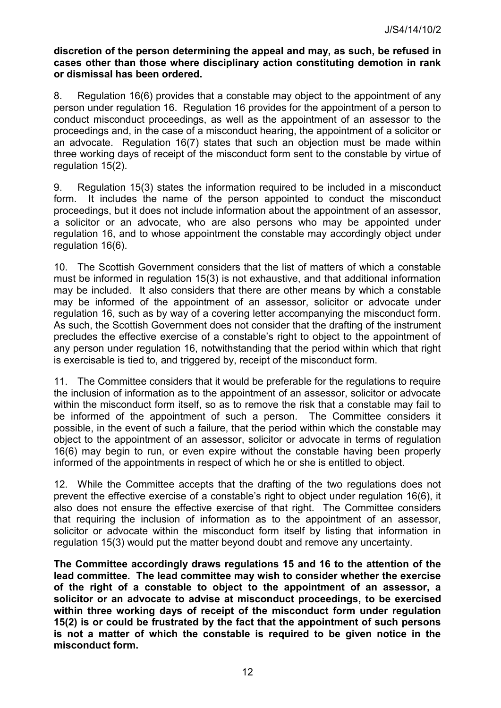#### **discretion of the person determining the appeal and may, as such, be refused in cases other than those where disciplinary action constituting demotion in rank or dismissal has been ordered.**

8. Regulation 16(6) provides that a constable may object to the appointment of any person under regulation 16. Regulation 16 provides for the appointment of a person to conduct misconduct proceedings, as well as the appointment of an assessor to the proceedings and, in the case of a misconduct hearing, the appointment of a solicitor or an advocate. Regulation 16(7) states that such an objection must be made within three working days of receipt of the misconduct form sent to the constable by virtue of regulation 15(2).

9. Regulation 15(3) states the information required to be included in a misconduct form. It includes the name of the person appointed to conduct the misconduct proceedings, but it does not include information about the appointment of an assessor, a solicitor or an advocate, who are also persons who may be appointed under regulation 16, and to whose appointment the constable may accordingly object under regulation 16(6).

10. The Scottish Government considers that the list of matters of which a constable must be informed in regulation 15(3) is not exhaustive, and that additional information may be included. It also considers that there are other means by which a constable may be informed of the appointment of an assessor, solicitor or advocate under regulation 16, such as by way of a covering letter accompanying the misconduct form. As such, the Scottish Government does not consider that the drafting of the instrument precludes the effective exercise of a constable's right to object to the appointment of any person under regulation 16, notwithstanding that the period within which that right is exercisable is tied to, and triggered by, receipt of the misconduct form.

11. The Committee considers that it would be preferable for the regulations to require the inclusion of information as to the appointment of an assessor, solicitor or advocate within the misconduct form itself, so as to remove the risk that a constable may fail to be informed of the appointment of such a person. The Committee considers it possible, in the event of such a failure, that the period within which the constable may object to the appointment of an assessor, solicitor or advocate in terms of regulation 16(6) may begin to run, or even expire without the constable having been properly informed of the appointments in respect of which he or she is entitled to object.

12. While the Committee accepts that the drafting of the two regulations does not prevent the effective exercise of a constable's right to object under regulation 16(6), it also does not ensure the effective exercise of that right. The Committee considers that requiring the inclusion of information as to the appointment of an assessor, solicitor or advocate within the misconduct form itself by listing that information in regulation 15(3) would put the matter beyond doubt and remove any uncertainty.

**The Committee accordingly draws regulations 15 and 16 to the attention of the lead committee. The lead committee may wish to consider whether the exercise of the right of a constable to object to the appointment of an assessor, a solicitor or an advocate to advise at misconduct proceedings, to be exercised within three working days of receipt of the misconduct form under regulation 15(2) is or could be frustrated by the fact that the appointment of such persons is not a matter of which the constable is required to be given notice in the misconduct form.**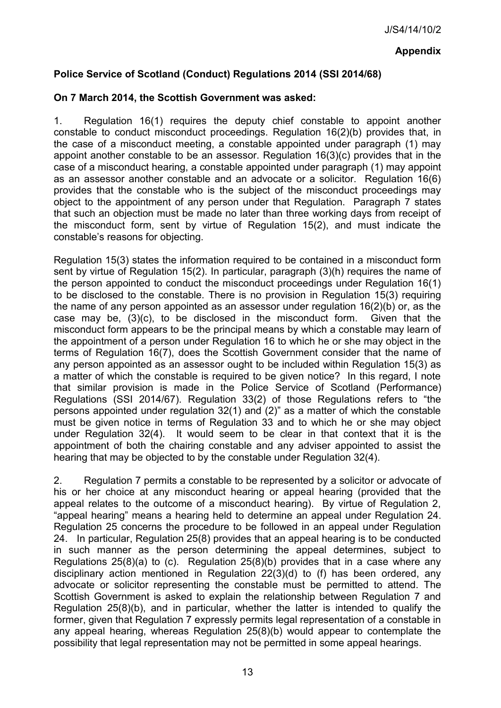# **Police Service of Scotland (Conduct) Regulations 2014 (SSI 2014/68)**

## **On 7 March 2014, the Scottish Government was asked:**

1. Regulation 16(1) requires the deputy chief constable to appoint another constable to conduct misconduct proceedings. Regulation 16(2)(b) provides that, in the case of a misconduct meeting, a constable appointed under paragraph (1) may appoint another constable to be an assessor. Regulation 16(3)(c) provides that in the case of a misconduct hearing, a constable appointed under paragraph (1) may appoint as an assessor another constable and an advocate or a solicitor. Regulation 16(6) provides that the constable who is the subject of the misconduct proceedings may object to the appointment of any person under that Regulation. Paragraph 7 states that such an objection must be made no later than three working days from receipt of the misconduct form, sent by virtue of Regulation 15(2), and must indicate the constable's reasons for objecting.

Regulation 15(3) states the information required to be contained in a misconduct form sent by virtue of Regulation 15(2). In particular, paragraph (3)(h) requires the name of the person appointed to conduct the misconduct proceedings under Regulation 16(1) to be disclosed to the constable. There is no provision in Regulation 15(3) requiring the name of any person appointed as an assessor under regulation 16(2)(b) or, as the case may be, (3)(c), to be disclosed in the misconduct form. Given that the misconduct form appears to be the principal means by which a constable may learn of the appointment of a person under Regulation 16 to which he or she may object in the terms of Regulation 16(7), does the Scottish Government consider that the name of any person appointed as an assessor ought to be included within Regulation 15(3) as a matter of which the constable is required to be given notice? In this regard, I note that similar provision is made in the Police Service of Scotland (Performance) Regulations (SSI 2014/67). Regulation 33(2) of those Regulations refers to "the persons appointed under regulation 32(1) and (2)" as a matter of which the constable must be given notice in terms of Regulation 33 and to which he or she may object under Regulation 32(4). It would seem to be clear in that context that it is the appointment of both the chairing constable and any adviser appointed to assist the hearing that may be objected to by the constable under Regulation 32(4).

2. Regulation 7 permits a constable to be represented by a solicitor or advocate of his or her choice at any misconduct hearing or appeal hearing (provided that the appeal relates to the outcome of a misconduct hearing). By virtue of Regulation 2, "appeal hearing" means a hearing held to determine an appeal under Regulation 24. Regulation 25 concerns the procedure to be followed in an appeal under Regulation 24. In particular, Regulation 25(8) provides that an appeal hearing is to be conducted in such manner as the person determining the appeal determines, subject to Regulations 25(8)(a) to (c). Regulation 25(8)(b) provides that in a case where any disciplinary action mentioned in Regulation 22(3)(d) to (f) has been ordered, any advocate or solicitor representing the constable must be permitted to attend. The Scottish Government is asked to explain the relationship between Regulation 7 and Regulation 25(8)(b), and in particular, whether the latter is intended to qualify the former, given that Regulation 7 expressly permits legal representation of a constable in any appeal hearing, whereas Regulation 25(8)(b) would appear to contemplate the possibility that legal representation may not be permitted in some appeal hearings.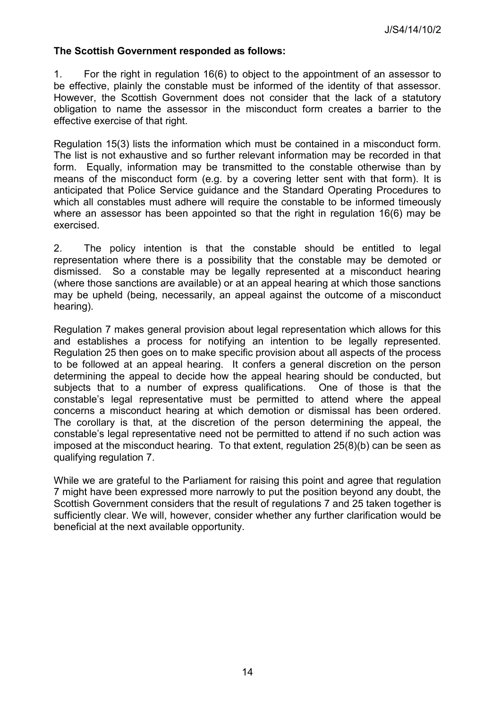#### **The Scottish Government responded as follows:**

1. For the right in regulation 16(6) to object to the appointment of an assessor to be effective, plainly the constable must be informed of the identity of that assessor. However, the Scottish Government does not consider that the lack of a statutory obligation to name the assessor in the misconduct form creates a barrier to the effective exercise of that right.

Regulation 15(3) lists the information which must be contained in a misconduct form. The list is not exhaustive and so further relevant information may be recorded in that form. Equally, information may be transmitted to the constable otherwise than by means of the misconduct form (e.g. by a covering letter sent with that form). It is anticipated that Police Service guidance and the Standard Operating Procedures to which all constables must adhere will require the constable to be informed timeously where an assessor has been appointed so that the right in regulation 16(6) may be exercised.

2. The policy intention is that the constable should be entitled to legal representation where there is a possibility that the constable may be demoted or dismissed. So a constable may be legally represented at a misconduct hearing (where those sanctions are available) or at an appeal hearing at which those sanctions may be upheld (being, necessarily, an appeal against the outcome of a misconduct hearing).

Regulation 7 makes general provision about legal representation which allows for this and establishes a process for notifying an intention to be legally represented. Regulation 25 then goes on to make specific provision about all aspects of the process to be followed at an appeal hearing. It confers a general discretion on the person determining the appeal to decide how the appeal hearing should be conducted, but subjects that to a number of express qualifications. One of those is that the constable's legal representative must be permitted to attend where the appeal concerns a misconduct hearing at which demotion or dismissal has been ordered. The corollary is that, at the discretion of the person determining the appeal, the constable's legal representative need not be permitted to attend if no such action was imposed at the misconduct hearing. To that extent, regulation 25(8)(b) can be seen as qualifying regulation 7.

While we are grateful to the Parliament for raising this point and agree that regulation 7 might have been expressed more narrowly to put the position beyond any doubt, the Scottish Government considers that the result of regulations 7 and 25 taken together is sufficiently clear. We will, however, consider whether any further clarification would be beneficial at the next available opportunity.